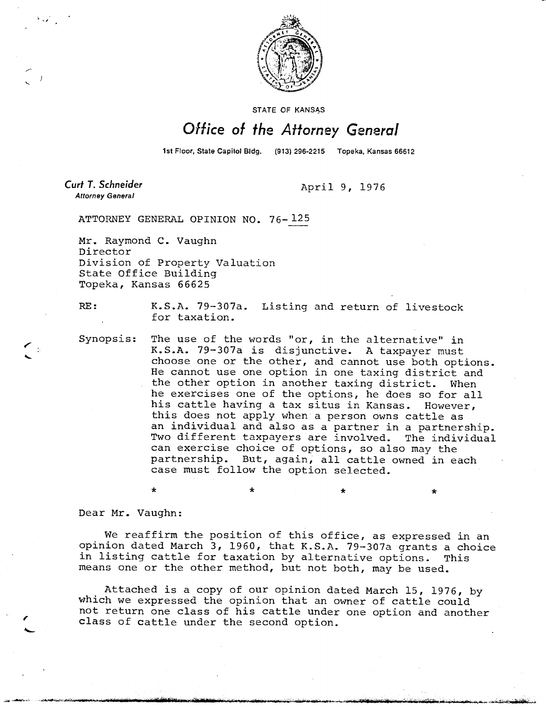

STATE OF KANSAS

# Office of the Attorney General

1st Floor, State Capitol Bldg. (913) 296-2215 Topeka, Kansas 66612

Curt T. Schneider **Attorney General** 

April 9, 1976

ATTORNEY GENERAL OPINION NO. 76-125

Mr. Raymond C. Vaughn Director Division of Property Valuation State Office Building Topeka, Kansas 66625

RE: K.S.A. 79-307a. Listing and return of livestock for taxation.

Synopsis: The use of the words "or, in the alternative" in K.S.A. 79-307a is disjunctive. A taxpayer must choose one or the other, and cannot use both options. He cannot use one option in one taxing district and the other option in another taxing district. When he exercises one of the options, he does so for all his cattle having a tax situs in Kansas. However, this does not apply when a person owns cattle as an individual and also as a partner in a partnership. Two different taxpayers are involved. The individual can exercise choice of options, so also may the partnership. But, again, all cattle owned in each case must follow the option selected.

Dear Mr. Vaughn:

We reaffirm the position of this office, as expressed in an opinion dated March 3, 1960, that K.S.A. 79-307a grants a choice in listing cattle for taxation by alternative options. This means one or the other method, but not both, may be used.

 $\star$   $\star$   $\star$ 

Attached is a copy of our opinion dated March 15, 1976, by which we expressed the opinion that an owner of cattle could not return one class of his cattle under one option and another class of cattle under the second option.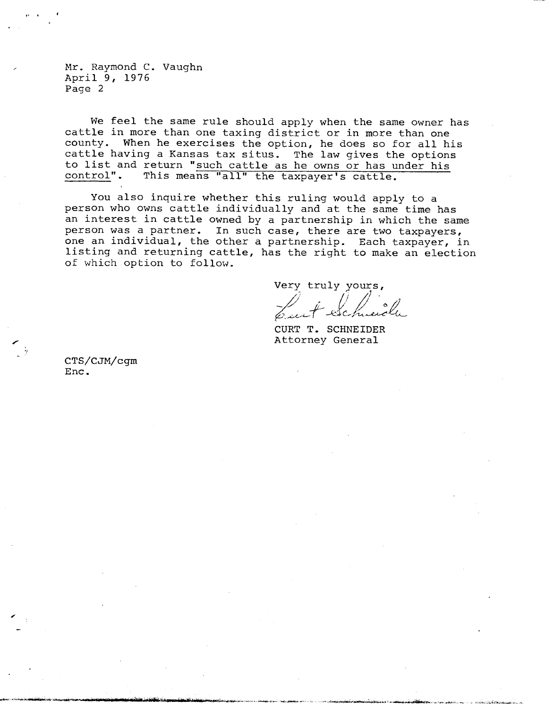Mr. Raymond C. Vaughn April 9, 1976 Page 2

We feel the same rule should apply when the same owner has cattle in more than one taxing district or in more than one county. When he exercises the option, he does so for all his cattle having a Kansas tax situs. The law gives the options to list and return "such cattle as he owns or has under his control". This means "all" the taxpayer's cattle.

You also inquire whether this ruling would apply to a person who owns cattle individually and at the same time has an interest in cattle owned by a partnership in which the same person was a partner. In such case, there are two taxpayers, one an individual, the other a partnership. Each taxpayer, in listing and returning cattle, has the right to make an election of which option to follow.

Very truly yours,

CURT T. SCHNEIDER Attorney General

CTS/CJM/cgm Enc.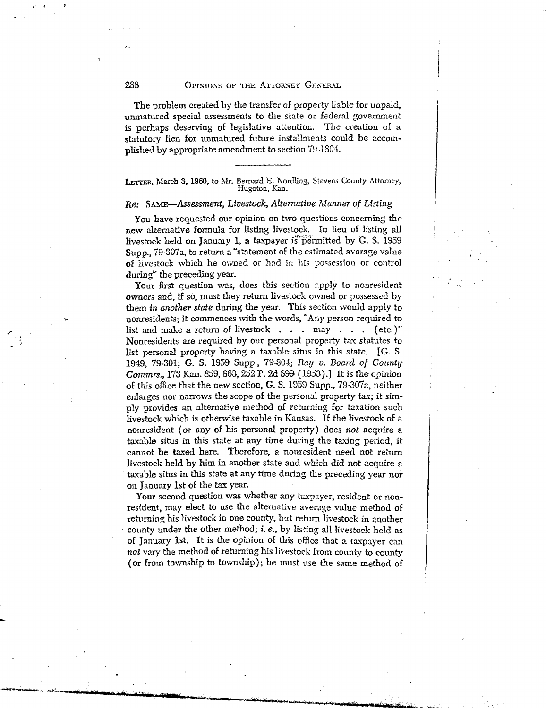### 288 OPINIONS OF THE ATTORNEY GENERAL

The problem created by the transfer of property liable for unpaid, unmatured special assessments to the state or federal government is perhaps deserving of legislative attention. The creation of a statutory lien for unmatured future installments could be accomplished by appropriate amendment to section 79-1804.

LETTER, March 3, 1960, to Mr. Bernard E. Nordling, Stevens County Attorney, Hugoton, Kan.

## *Re: SAME—Assessment, Livestock, Alternative Manner of Listing*

You have requested our opinion on two questions concerning the new alternative formula for listing livestock. In lieu of listing all livestock held on January 1, a taxpayer is permitted by G. S. 1959 Supp., 79-307a, to return a "statement of the estimated average value of livestock which he owned or had in his possession or control during" the preceding year.

Your first question was, does this section apply to nonresident *owners* and, if so, must they return livestock owned or possessed by them *in another state* during the year. This section would apply to nonresidents; it commences with the words, "Any person required to list and make a return of livestock . . . may . . . (etc.)" Nonresidents are required by our personal property tax statutes to list personal property having a taxable situs in this state. [G. S. 1949, 79-301; G. S. 1959 Supp., 79-304; *Ray v. Board of County Cornmrs.,* 173 Kan. 859, 863, 252 P. 2d 899. (1953).] It is the opinion of this office that the new section, G. S. 1959 Supp., 79-307a, neither enlarges nor narrows the scope of the personal property tax; it simply provides an alternative method of returning for taxation such livestock which is otherwise taxable in Kansas. If the livestock of a nonresident (or any of his personal property) does *not* acquire a taxable situs in this state at any time during the taxing period, it cannot be taxed here. Therefore, a nonresident need not return livestock held by him in another state and which did not acquire a taxable situs in this state at any time during the preceding year nor on January 1st of the tax year.

Your second question was whether any taxpayer, resident or nonresident, may elect to use the alternative average value method of returning his livestock in one county, but return livestock in another county under the other method; i. *e.,* by listing all livestock held as of January 1st. It is the opinion of this office that a taxpayer can *not* vary the method of returning his livestock from county to county ( or from township to township); he must use the same method of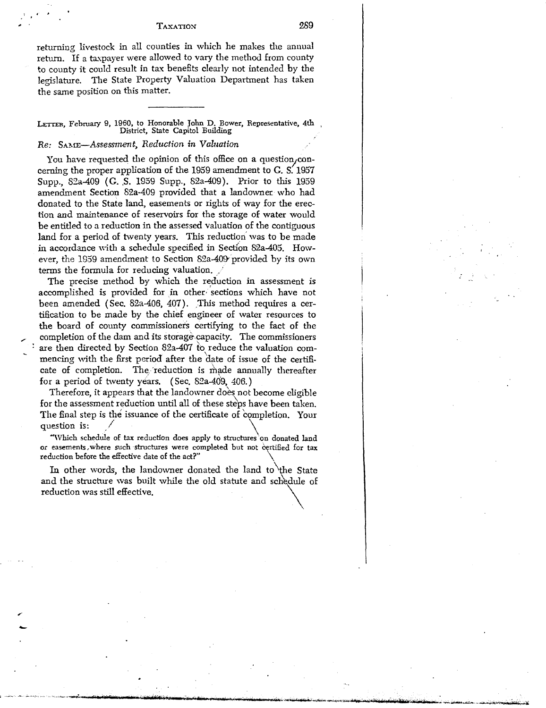#### TAXATION

289

returning livestock in all counties in which he makes the annual return. If a taxpayer were allowed to vary the method from county to county it could result in tax benefits clearly not intended by the legislature. The State Property Valuation Department has taken the same position on this matter.

LETTER, February 9, 1960, to Honorable John D. Bower, Representative, 4th District, State Capitol Building

## *Re: SAME—Assessment, Reduction in Valuation*

You have requested the opinion of this office on a question, concerning the proper application of the 1959 amendment to G. S. 1957 Supp., 82a-409 (G. S. 1959 Supp., 82a-409). Prior to this 1959 amendment Section 82a-409 provided that a landowner who had donated to the State land, easements or rights of way for the erection and maintenance of reservoirs for the storage of water would be entitled to a reduction in the assessed valuation of the contiguous land for a period of twenty years. This reduction was to be made in accordance with a schedule specified in Section 82a-405. However, the 1959 amendment to Section 82a-409 provided by its own terms the formula for reducing valuation.

The precise method by which the reduction in assessment is accomplished is provided for in other sections which have not been amended (Sec. 82a-406, 407). This method requires a certification to be made by the chief engineer of water resources to the board of county commissioners certifying to the fact of the completion of the dam and its storage. capacity. The commissioners are then directed by Section 82a-407 to reduce the valuation commencing with the first period after the date of issue of the certificate of completion. The reduction is made annually thereafter for a period of twenty years. (Sec. 82a-409, 406.)

Therefore, it appears that the landowner does not become eligible for the assessment reduction until all of these steps have been taken. The final step is the issuance of the certificate of 'completion. Your question is:

"Which schedule of tax reduction does apply to structures on donated land or easements, where such structures were completed but not certified for tax reduction before the effective date of the act?"

In other words, the landowner donated the land to the State and the structure was built while the old statute and schedule of reduction was still effective.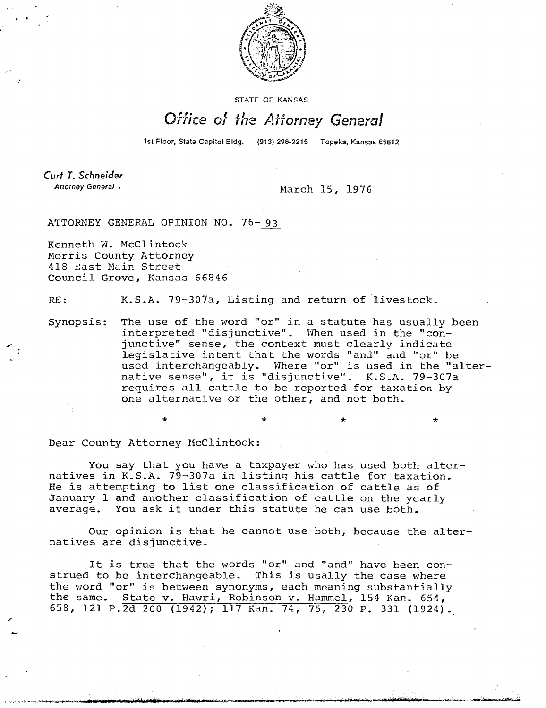

STATE OF KANSAS

## Office of the Attorney General

1st Floor, State Capitol Bldg. (913) 296-2215 Topeka, Kansas 66612

Curt T. Schneider Attorney General .

March 15, 1976

ATTORNEY GENERAL OPINION NO. 76-93

Kenneth W. McClintock Morris County Attorney 418 East Main Street Council Grove, Kansas 66846

RE: K.S.A. 79-307a, Listing and return of livestock.

Synopsis: The use of the word "or" in a statute has usually been interpreted "disjunctive". When used in the "conjunctive" sense, the context must clearly indicate legislative intent that the words "and" and "or" be used interchangeably. Where "or" is used in the "alternative sense", it is "disjunctive". K.S.A. 79-307a requires all cattle to be reported for taxation by one alternative or the other, and not both.

Dear County Attorney McClintock:

You say that you have a taxpayer who has used both alternatives in K.S.A. 79-307a in listing his cattle for taxation. He is attempting to list one classification of cattle as of January 1 and another classification of cattle on the yearly average. You ask if under this statute he can use both.

Our opinion is that he cannot use both, because the alternatives are disjunctive.

It is true that the words "or" and "and" have been construed to be interchangeable. This is usally the case where the word "or" is between synonyms, each meaning substantially the same. State v. Hawri, Robinson v. Hammel, 154 Kan. 654, 658, 121 P.2d 200 (1942); 117 Kan. 74, 75, 230 P. 331 (1924).